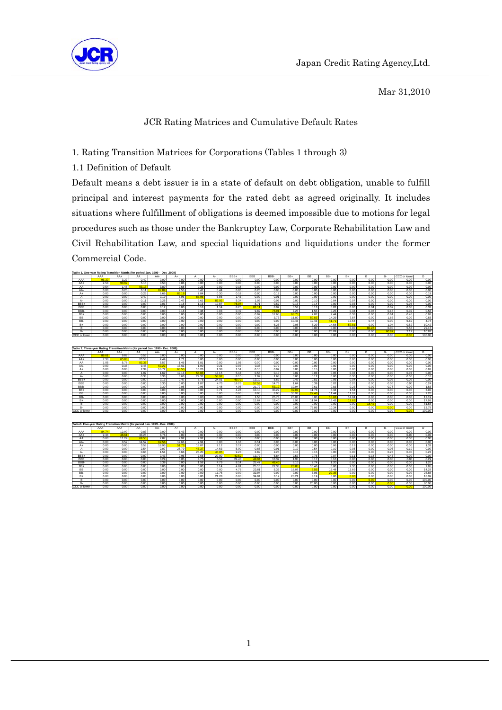

Mar 31,2010

# JCR Rating Matrices and Cumulative Default Rates

1. Rating Transition Matrices for Corporations (Tables 1 through 3)

1.1 Definition of Default

Default means a debt issuer is in a state of default on debt obligation, unable to fulfill principal and interest payments for the rated debt as agreed originally. It includes situations where fulfillment of obligations is deemed impossible due to motions for legal procedures such as those under the Bankruptcy Law, Corporate Rehabilitation Law and Civil Rehabilitation Law, and special liquidations and liquidations under the former Commercial Code.

| Table 1, One-year Rating Transition Matrix (for period Jan, 1999 - Dec .2009) |       |       |       |       |       |       |       |          |            |       |       |           |       |       |       |           |              |        |
|-------------------------------------------------------------------------------|-------|-------|-------|-------|-------|-------|-------|----------|------------|-------|-------|-----------|-------|-------|-------|-----------|--------------|--------|
|                                                                               | AAA   | AA+   | AA    | AA-   | A+    |       | А-    | BBB+     | <b>BBB</b> | BBB-  | $BB+$ | <b>BB</b> | BB-   | $R+$  |       | <b>B-</b> | CCC or lower | D.     |
| AAA                                                                           | 96.30 | 3.27  | 0.42  | 0.00  | 0.00  | 0.00  | 0.00  | 0.00     | 0.00       | 0.00  | 0.00  | 0.00      | 0.00  | 0.00  | 0.00  | 0.00      | 0.00         | 0.00   |
| $AA+$                                                                         | 2.58  | 90.92 | 5.15  | 0.50  | 0.86  | 0.00  | 0.00  | 0.00     | 0.00       | 0.00  | 0.00  | 0.00      | 0.00  | 0.00  | 0.00  | 0.00      | 0.00         | 0.00   |
| AA                                                                            | 0.54  | 1.45  | 93.13 | 3.80  | 0.68  | 0.23  | 0.00  | 0.18     | 0.00       | 0.00  | 0.00  | 0.00      | 0.00  | 0.00  | 0.00. | 0.00      | 0.00         | 0.00   |
| AA-                                                                           | 0.00  | 0.25  | 3.11  | 87.89 | 7.55  | 0.47  | 0.44  | 0.05     | 0.25       | 0.00  | 0.00  | 0.00      | 0.00  | 0.00  | 0.00  | 0.00      | 0.00         | 0.00   |
| A+                                                                            | 0.00  | 0.00  | 0.25  | 6.66  | 85.19 | 7.04  | 0.30  | 0.18     | 0.00       | 0.19  | 0.00  | 0.00      | 0.00  | 0.00  | 0.00  | 0.00      | 0.00         | 0.19   |
| А                                                                             | 0.00  | 0.00  | 0.49  | 0.19  | 6.96  | 83.95 | 6.86  | $1.43 +$ | 0.02       | 0.01  | 0.00  | 0.09      | 0.00  | 0.00  | 0.00  | 0.00      | 0.00         | 0.00   |
| А-                                                                            | 0.00  | 0.00  | 0.11  | 0.25  | 0.47  | 9.62  | 82.92 | 5.34     | 1.02       | 0.06  | 0.00  | 0.10      | 0.04  | 0.07  | 0.00  | 0.00      | 0.00         | 0.00   |
| BBB+                                                                          | 0.00  | 0.00  | 0.00  | 0.01  | 0.18  | 1.16  | 10.87 | 78.07    | 8.71       | 0.62  | 0.15  | 0.14      | 0.00  | 0.03  | 0.00  | 0.00      | 0.06         | 0.00   |
| <b>BBB</b>                                                                    | 0.00  | 0.00  | 0.00  | 0.12  | 0.00  | 0.18  | 1 14  | 8.25     | 81.11      | 8.07  | 0.53  | 0.13      | 0.02  | 0.00  | 0.04  | 0.02      | 0.06         | 0.33   |
| BBB-                                                                          | 0.00  | 0.00  | 0.00  | 0.00  | 0.18  | 0.38  | 0.03  | 0.49     | 9.82       | 78.91 | 7.25  | 1.55      | 0.25  | 0.34  | 0.06  | 0.15      | 0.02         | 0.58   |
| $BB+$                                                                         | 0.00  | 0.00  | 0.00  | 0.00  | 0.00  | 0.00  | 0.00  | 0.00     | 0.92       | 17.65 | 68.75 | 7.87      | 2.44  | 0.38  | 0.00  | 0.61      | 0.46         | 0.92   |
| <b>BB</b>                                                                     | 0.00  | 0.00  | 0.00  | 0.00  | 0.00  | 0.00  | 0.00  | 0.00     | 0.00       | 373   | 11.80 | 59.83     | 14 29 | 7.87  | 0.00  | 1.66      | 0.00         | 0.83   |
| BB-                                                                           | 0.00  | 0.00  | 0.00  | 0.00  | 0.00  | 0.00  | 0.00  | 0.00     | 0.00       | 0.00  | 10.43 | 19.43     | 41.71 | 17.54 | 0.47  | 0.00      | 5.69         | 4.74   |
| $B+$                                                                          | 0.00  | 0.00  | 0.00  | 0.00  | 0.00  | 0.00  | 0.00  | 0.00     | 0.00       | 6.25  | 2.08  | 7.29      | 14.58 | 57.81 | 0.00  | 1.04      | 0.52         | 10.42  |
| в                                                                             | 0.00  | 0.00  | 0.00  | 0.00  | 0.00  | 0.00  | 0.00  | 0.00     | 0.00       | 0.00  | 0.00  | 0.00      | 0.00  | 0.00  | 65.28 | 0.00      | 5.56         | 29.17  |
| <b>B-</b>                                                                     | 0.00  | 0.00  | 0.00  | 0.00  | 0.00  | 0.00  | 0.00  | 0.00     | 0.00       | 0.00  | 0.00  | 0.00      | 26.09 | 0.00  | 0.00  | 60.8      | 2.17         | 10.87  |
| CCC or lower                                                                  | 0.00  | 0.00  | 0.00  | 0.00  | 0.00  | 0.00  | 0.00  | 0.00     | 0.00       | 0.00  | 0.00  | 0.00      | 0.00  | 0.00  | 0.00  | 0.00      | 0.00         | 100.00 |
|                                                                               |       |       |       |       |       |       |       |          |            |       |       |           |       |       |       |           |              |        |

| Table 2. Three-year Rating Transition Matrix (for period Jan. 1999 - Dec. 2009) |       |       |       |       |       |       |       |       |            |       |       |           |       |       |       |           |              |              |
|---------------------------------------------------------------------------------|-------|-------|-------|-------|-------|-------|-------|-------|------------|-------|-------|-----------|-------|-------|-------|-----------|--------------|--------------|
|                                                                                 | AAA   | AA+   | AA    | AA-   | $A+$  |       | А-    | BBB+  | <b>BBB</b> | RRR-  | BB+   | <b>BB</b> | RR-   | $R+$  |       | <b>B-</b> | CCC or lower | <sup>D</sup> |
| AAA                                                                             | 89.61 | 9.82  | 0.56  | 0.00  | 0.00  | 0.00  | 0.00  | 0.00  | 0.00       | 0.00  | 0.00  | 0.00      | 0.00  | 0.00  | 0.00  | 0.00      | 0.00         | 0.00         |
| AA+                                                                             | 7.38  | 65.88 | 20.53 | 4.49  | 171   | 0.00  | 0.00  | 0.00  | 0.00       | 0.00  | 0.00  | 0.00      | 0.00  | 0.00  | 0.00  | 0.00      | 0.00         | 0.00         |
| AA                                                                              | 1.05  | 5.78  | 82.37 | 5.57  | 1.46  | 181   | 0.00  | 1.95  | 0.00       | 0.00  | 0.00  | 0.00      | 0.00  | 0.00  | 0.00  | 0.00      | 0.00         | 0.00         |
| AA-                                                                             | 0.00  | 0.36  | 9.48  | 69.22 | 17.61 | 1.90  | 0.21  | 0.07  | 0.36       | 0.79  | 0.00  | 0.00      | 0.00  | 0.00  | 0.00  | 0.00      | 0.00         | 0.00         |
| A+                                                                              | 0.00  | 0.00  | 2.34  | 16.72 | 60.55 | 16.26 | 1.38  | 1.51  | 0.15       | 0.02  | 0.00  | 0.15      | 0.00  | 0.00  | 0.00  | 0.00      | 0.00         | 0.92         |
|                                                                                 | 0.00  | 0.00  | 1.07  | 1.69  | 19.13 | 58.65 | 13.15 | 5.13  | 0.58       | 0.10  | 0.02  | 0.03      | 0.05  | 0.33  | 0.00  | 0.00      | 0.07         | 0.00         |
| А-                                                                              | 0.00  | 0.00  | 0.33  | 0.33  | 3.63  | 24.37 | 58.92 | 8.15  | 2.02       | 1.68  | 0.00  | 0.12      | 0.00  | 0.30  | 0.00  | 0.00      | 0.00         | 0.16         |
| RRR+                                                                            | 0.00  | 0.00  | 0.00  | 0.13  | 0.47  | 5.75  | 24.01 | 49.70 | 13.10      | 5.62  | 0.49  | 0.51      | 0.06  | 0.04  | 0.00  | 0.02      | 0.09         | 0.00         |
| <b>BBB</b>                                                                      | 0.00  | 0.00  | 0.00  | 0.30  | 0.00  | 1.87  | 4.73  | 18.23 | 57.53      | 14.73 | 1.64  | 0.39      | 0.02  | 0.26  | 0.00  | 0.06      | 0.00         | 0.24         |
| BBB-                                                                            | 0.00  | 0.00  | 0.00  | 0.30  | 0.05  | 0.96  | 2.48  | 4.06  | 21.72      | 53.12 | 10.94 | 2.61      | 0.83  | 0.23  | 0.09  | 0.78      | 0.00         | 1.83         |
| $BB+$                                                                           | 0.00  | 0.00  | 0.00  | 0.00  | 0.00  | 0.00  | 0.71  | 4.28  | 10.10      | 30.29 | 32.07 | 1176      | 5.34  | 1.54  | 0.00  | 0.00      | 0.00         | 3.92         |
| <b>BB</b>                                                                       | 0.00  | 0.00  | 0.00  | 0.00  | 0.00  | 0.00  | 0.00  | 0.00  | 8.05       | 8.90  | 30.93 | 22.46     | 11.44 | 11.02 | 0.00  | 0.00      | 0.00         | 7.20         |
| BB-                                                                             | 0.00  | 0.00  | 0.00  | 0.00  | 0.00  | 0.00  | 0.00  | 0.00  | 1.56       | 25.78 | 25.00 | 0.00      | 15.63 | 14.84 | 0.00  | 0.00      | 0.00         | 17.19        |
| $B +$                                                                           | 0.00  | 0.00  | 0.00  | 0.00  | 0.00  | 0.00  | 0.00  | 0.00  | 15.67      | 19.40 | 8.96  | 11.94     | 13.43 | 12.69 | 0.00  | 0.00      | 0.00         | 17.91        |
| R                                                                               | 0.00  | 0.00  | 0.00  | 0.00  | 0.00  | 0.00  | 0.00  | 0.00  | 0.00       | 0.00  | 0.00  | 0.00      | 0.00  | 0.00  | 18.42 | 0.00      | 0.00         | 81.58        |
| <b>B-</b>                                                                       | 0.00  | 0.00  | 0.00  | 0.00  | 0.00  | 0.00  | 0.00  | 0.00  | 0.00       | 0.00  | 0.00  | 75.86     | 10.34 | 0.00  | 0.00  | 0.00      | 0.00         | 13.79        |
| CCC or lower                                                                    | 0.00  | 0.00  | 0.00  | 0.00  | 0.00  | 0.00  | 0.00  | 0.00  | 0.00       | 0.00  | 0.00  | 0.00      | 0.00  | 0.00  | 0.00  | 0.00      | 0.001        | 100.00       |
|                                                                                 |       |       |       |       |       |       |       |       |            |       |       |           |       |       |       |           |              |              |

| Table3, Five-year Rating Transition Matrix (for period Jan. 1999 - Dec. 2009) |       |       |       |       |       |       |       |       |            |       |       |           |       |       |                |           |              |        |
|-------------------------------------------------------------------------------|-------|-------|-------|-------|-------|-------|-------|-------|------------|-------|-------|-----------|-------|-------|----------------|-----------|--------------|--------|
|                                                                               | AAA   | AA+   | AA    | AA-   | $A+$  |       | А-    | BBB+  | <b>BRR</b> | RRR-  | $RR+$ | <b>RR</b> | RR-   | $R+$  | R              | <b>B-</b> | CCC or lower | D.     |
| AAA                                                                           | 84 74 | 12.99 | 0.83  | 0.00  | 1.43  | 0.00  | 0.00  | 0.00  | 0.00       | 0.00  | 0.00  | 0.00      | 0.00  | 0.00  | 0.00           | 0.00      | 0.00         | 0.00   |
| AA+                                                                           | 9.34  | 48.61 | 33.28 | 8.76  | 0.00  | 0.00  | 0.00  | 0.00  | 0.00       | 0.00  | 0.00  | 0.00      | 0.00  | 0.00  | 0.00           | 0.00      | 0.00         | 0.00   |
| AA                                                                            | 0.00  | 11.24 | 69.55 | 7.87  | 2.92  | 2.92  | 0.00  | 5.51  | 0.00       | 0.00  | 0.00  | 0.00      | 0.00  | 0.00  | 0.00           | 0.00      | 0.00         | 0.00   |
| AA-                                                                           | 0.00  | 0.57  | 14.52 | 62.56 | 17.66 | 2.94  | 0.00  | 1 18  | 0.51       | 0.05  | 0.00  | 0.00      | 0.00  | 0.00  | 0.00           | 0.00      | 0.00         | 0.00   |
| $A+$                                                                          | 0.00  | 0.00  | 3.58  | 18.93 | 51.73 | 18.87 | 2.12  | 3.17  | 0.00       | 0.00  | 0.00  | 0.00      | 0.06  | 0.19  | 0.00           | 0.00      | 0.00         | 1.33   |
| а                                                                             | 0.00  | 0.00  | 2.54  | 2.07  | 25.79 | 46.3  | 14.63 | 5.90  | 0.85       | 0.91  | 0.10  | 0.54      | 0.10  | 0.05  | 0.00           | 0.03      | 0.10         | 0.00   |
| А-                                                                            | 0.00  | 0.00  | 0.66  | 1.51  | 8.66  | 28.20 | 45.85 | 9.23  | 2.89       | 2.25  | 0.15  | 0.15      | 0.00  | 0.00  | 0.00           | 0.23      | 0.00         | 0.23   |
| BBB+                                                                          | 0.00  | 0.00  | 0.00  | 0.43  | 0.96  | 7.66  | 27.80 | 40.52 | 13.72      | 6.84  | 0.57  | 0.75      | 0.07  | 0.11  | 0.14           | 0.43      | 0.00         | 0.00   |
| <b>BBB</b>                                                                    | 0.00  | 0.00  | 0.00  | 0.29  | 0.05  | 4.75  | 5.52  | 24.48 | 49.0       | 13.37 | 1.95  | 0.17      | 0.10  | 0.00  | 0.00           | 0.00      | 0.00         | 0.29   |
| BBB-                                                                          | 0.00  | 0.00  | 0.00  | 0.39  | 0.00  | 1.58  | 4.79  | 8.14  | 25.47      | 48.40 | 6.10  | 2.74      | 1.20  | 0.00  | 0.00           | 0.00      | 0.00         | 1.20   |
| BB+                                                                           | 0.00  | 0.00  | 0.00  | 0.00  | 0.00  | 0.00  | 3.14  | 4.81  | 25.10      | 22.38 | 23.85 | 10.46     | 0.00  | 2.30  | 0.00           | 0.00      | 0.00         | 7.95   |
| <b>BB</b>                                                                     | 0.00  | 0.00  | 0.00  | 0.00  | 0.00  | 0.00  | 0.00  | 4.76  | 23.81      | 5.36  | 16.07 | 6.55      | 15.48 | 13.69 | 0.00           | 0.00      | 0.00         | 14.29  |
| BB-                                                                           | 0.00  | 0.00  | 0.00  | 0.00  | 0.00  | 0.00  | 11.76 | 0.00  | 32.94      | 0.00  | 0.00  | 7.06      | 22.35 | 0.00  | 0.00           | 0.00      | 0.00         | 25.88  |
| R+                                                                            | 0.00  | 0.00  | 0.00  | 0.00  | 0.00  | 0.00  | 21.28 | 0.00  | 34.04      | 3.19  | 20.21 | 3.19      | 0.00  | 0.00  | 0.00           | 0.00      | 0.00         | 18.09  |
| R                                                                             | 0.00  | 0.00  | 0.00  | 0.00  | 0.00  | 0.00  | 0.00  | 0.00  | 0.00       | 0.00  | 0.00  | 0.00      | 0.00  | 0.00  | 0 <sub>0</sub> | 0.00      | 0.00         | 100.00 |
| <b>B-</b>                                                                     | 0.00  | 0.00  | 0.00  | 0.00  | 0.00  | 0.00  | 0.00  | 0.00  | 0.00       | 0.00  | 0.00  | 20.00     | 0.00  | 0.00  | 0.00           | 0.00      | 0.00         | 80.00  |
| CCC or lower                                                                  | 0.00  | 0.00  | 0.00  | 0.00  | 0.00  | 0.00  | 0.00  | 0.00  | 0.00       | 0.00  | 0.00  | 0.00      | 0.00  | 0.00  | 0.00           | 0.00      | 0.00         | 100.00 |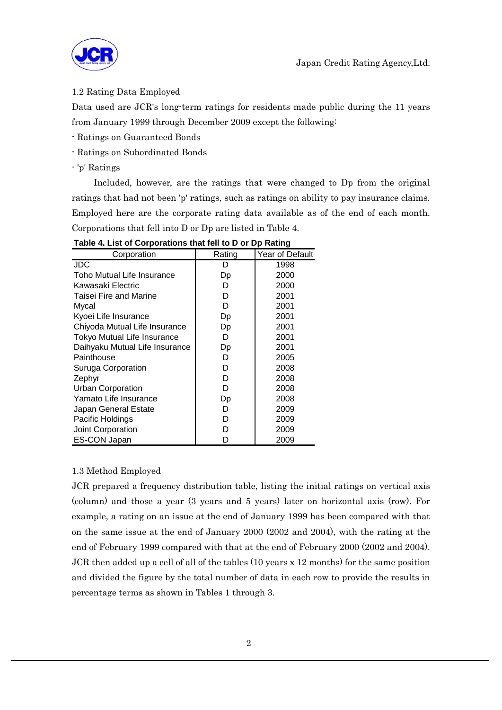

### 1.2 Rating Data Employed

Data used are JCR's long-term ratings for residents made public during the 11 years from January 1999 through December 2009 except the following:

- Ratings on Guaranteed Bonds
- Ratings on Subordinated Bonds
- 'p' Ratings

 Included, however, are the ratings that were changed to Dp from the original ratings that had not been 'p' ratings, such as ratings on ability to pay insurance claims. Employed here are the corporate rating data available as of the end of each month. Corporations that fell into D or Dp are listed in Table 4.

| Corporation                    | Rating | Year of Default |
|--------------------------------|--------|-----------------|
| JDC.                           | D      | 1998            |
| Toho Mutual Life Insurance     | Dp     | 2000            |
| Kawasaki Electric              | D      | 2000            |
| Taisei Fire and Marine         | D      | 2001            |
| Mvcal                          | D      | 2001            |
| Kyoei Life Insurance           | Dp     | 2001            |
| Chiyoda Mutual Life Insurance  | Dp     | 2001            |
| Tokyo Mutual Life Insurance    | D      | 2001            |
| Daihyaku Mutual Life Insurance | Dp     | 2001            |
| Painthouse                     | D      | 2005            |
| Suruga Corporation             | D      | 2008            |
| Zephyr                         | D      | 2008            |
| <b>Urban Corporation</b>       | D      | 2008            |
| Yamato Life Insurance          | Dp     | 2008            |
| Japan General Estate           | D      | 2009            |
| Pacific Holdings               | D      | 2009            |
| Joint Corporation              | D      | 2009            |
| ES-CON Japan                   | D      | 2009            |

**Table 4. List of Corporations that fell to D or Dp Rating**

#### 1.3 Method Employed

JCR prepared a frequency distribution table, listing the initial ratings on vertical axis (column) and those a year (3 years and 5 years) later on horizontal axis (row). For example, a rating on an issue at the end of January 1999 has been compared with that on the same issue at the end of January 2000 (2002 and 2004), with the rating at the end of February 1999 compared with that at the end of February 2000 (2002 and 2004). JCR then added up a cell of all of the tables (10 years x 12 months) for the same position and divided the figure by the total number of data in each row to provide the results in percentage terms as shown in Tables 1 through 3.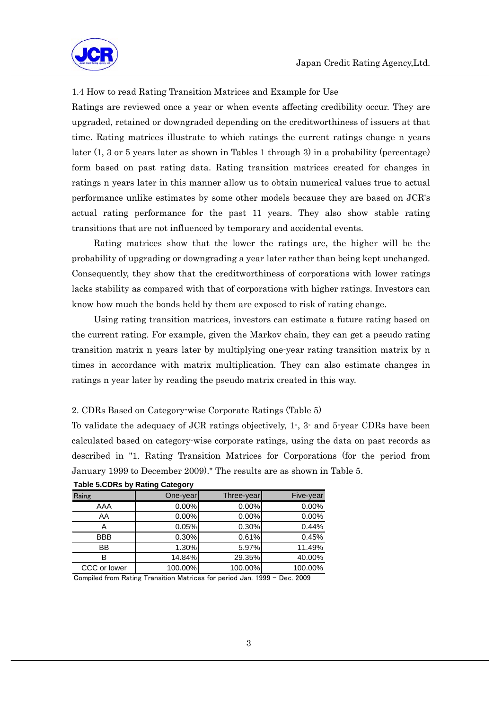

#### 1.4 How to read Rating Transition Matrices and Example for Use

Ratings are reviewed once a year or when events affecting credibility occur. They are upgraded, retained or downgraded depending on the creditworthiness of issuers at that time. Rating matrices illustrate to which ratings the current ratings change n years later (1, 3 or 5 years later as shown in Tables 1 through 3) in a probability (percentage) form based on past rating data. Rating transition matrices created for changes in ratings n years later in this manner allow us to obtain numerical values true to actual performance unlike estimates by some other models because they are based on JCR's actual rating performance for the past 11 years. They also show stable rating transitions that are not influenced by temporary and accidental events.

 Rating matrices show that the lower the ratings are, the higher will be the probability of upgrading or downgrading a year later rather than being kept unchanged. Consequently, they show that the creditworthiness of corporations with lower ratings lacks stability as compared with that of corporations with higher ratings. Investors can know how much the bonds held by them are exposed to risk of rating change.

 Using rating transition matrices, investors can estimate a future rating based on the current rating. For example, given the Markov chain, they can get a pseudo rating transition matrix n years later by multiplying one-year rating transition matrix by n times in accordance with matrix multiplication. They can also estimate changes in ratings n year later by reading the pseudo matrix created in this way.

#### 2. CDRs Based on Category-wise Corporate Ratings (Table 5)

To validate the adequacy of JCR ratings objectively, 1-, 3- and 5-year CDRs have been calculated based on category-wise corporate ratings, using the data on past records as described in "1. Rating Transition Matrices for Corporations (for the period from January 1999 to December 2009)." The results are as shown in Table 5.

| Raing        | One-year | Three-year | Five-year |
|--------------|----------|------------|-----------|
| AAA          | 0.00%    | 0.00%      | 0.00%     |
| AA           | 0.00%    | 0.00%      | 0.00%     |
| A            | 0.05%    | 0.30%      | 0.44%     |
| <b>BBB</b>   | 0.30%    | 0.61%      | 0.45%     |
| BB           | 1.30%    | 5.97%      | 11.49%    |
| в            | 14.84%   | 29.35%     | 40.00%    |
| CCC or lower | 100.00%  | 100.00%    | 100.00%   |

#### **Table 5.CDRs by Rating Category**

Compiled from Rating Transition Matrices for period Jan. 1999 - Dec. 2009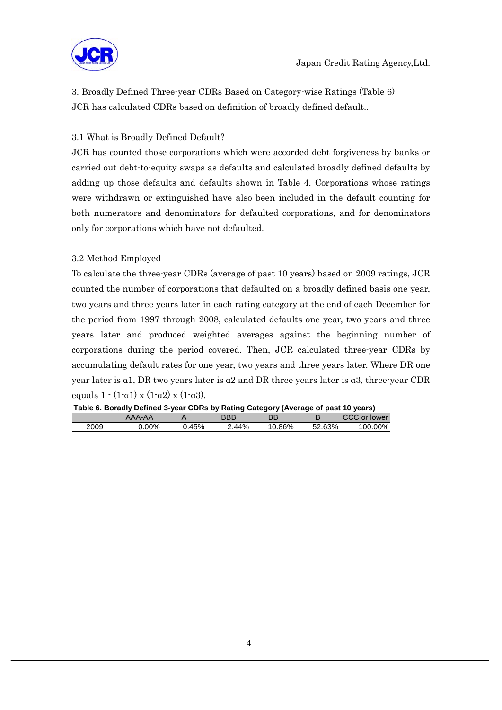

3. Broadly Defined Three-year CDRs Based on Category-wise Ratings (Table 6) JCR has calculated CDRs based on definition of broadly defined default..

# 3.1 What is Broadly Defined Default?

JCR has counted those corporations which were accorded debt forgiveness by banks or carried out debt-to-equity swaps as defaults and calculated broadly defined defaults by adding up those defaults and defaults shown in Table 4. Corporations whose ratings were withdrawn or extinguished have also been included in the default counting for both numerators and denominators for defaulted corporations, and for denominators only for corporations which have not defaulted.

## 3.2 Method Employed

To calculate the three-year CDRs (average of past 10 years) based on 2009 ratings, JCR counted the number of corporations that defaulted on a broadly defined basis one year, two years and three years later in each rating category at the end of each December for the period from 1997 through 2008, calculated defaults one year, two years and three years later and produced weighted averages against the beginning number of corporations during the period covered. Then, JCR calculated three-year CDRs by accumulating default rates for one year, two years and three years later. Where DR one year later is α1, DR two years later is α2 and DR three years later is α3, three-year CDR equals  $1 \cdot (1 \cdot \alpha 1) \times (1 \cdot \alpha 2) \times (1 \cdot \alpha 3)$ .

| Table 6. Boradly Defined 3-year CDRs by Rating Category (Average of past 10 years) |  |  |
|------------------------------------------------------------------------------------|--|--|
|                                                                                    |  |  |

|      |          |     | --    | --     |     |                 |
|------|----------|-----|-------|--------|-----|-----------------|
|      |          |     | חמכ   |        |     | $\cap$<br>lower |
| 2009 | $0.00\%$ | 45% | 2.44% | .ບ.86% | 63% | $.00\%$<br>00   |
|      |          |     |       |        |     |                 |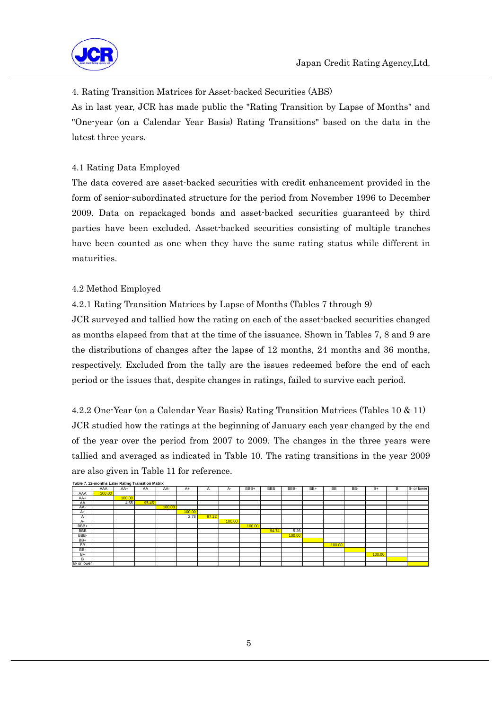

# 4. Rating Transition Matrices for Asset-backed Securities (ABS)

As in last year, JCR has made public the "Rating Transition by Lapse of Months" and "One-year (on a Calendar Year Basis) Rating Transitions" based on the data in the latest three years.

## 4.1 Rating Data Employed

The data covered are asset-backed securities with credit enhancement provided in the form of senior-subordinated structure for the period from November 1996 to December 2009. Data on repackaged bonds and asset-backed securities guaranteed by third parties have been excluded. Asset-backed securities consisting of multiple tranches have been counted as one when they have the same rating status while different in maturities.

## 4.2 Method Employed

# 4.2.1 Rating Transition Matrices by Lapse of Months (Tables 7 through 9)

JCR surveyed and tallied how the rating on each of the asset-backed securities changed as months elapsed from that at the time of the issuance. Shown in Tables 7, 8 and 9 are the distributions of changes after the lapse of 12 months, 24 months and 36 months, respectively. Excluded from the tally are the issues redeemed before the end of each period or the issues that, despite changes in ratings, failed to survive each period.

4.2.2 One-Year (on a Calendar Year Basis) Rating Transition Matrices (Tables 10 & 11) JCR studied how the ratings at the beginning of January each year changed by the end of the year over the period from 2007 to 2009. The changes in the three years were tallied and averaged as indicated in Table 10. The rating transitions in the year 2009 are also given in Table 11 for reference.

| Table 7. 12-months Later Rating Transition Matrix |        |        |       |        |        |       |        |        |            |        |     |        |     |        |   |             |
|---------------------------------------------------|--------|--------|-------|--------|--------|-------|--------|--------|------------|--------|-----|--------|-----|--------|---|-------------|
|                                                   | AAA    | $AA+$  | AA    | AA-    | $A+$   | A     | А-     | BBB+   | <b>BBB</b> | BBB-   | BB+ | BB     | BB- | $B+$   | в | B- or lower |
| AAA                                               | 100.00 |        |       |        |        |       |        |        |            |        |     |        |     |        |   |             |
| AA+                                               |        | 100.00 |       |        |        |       |        |        |            |        |     |        |     |        |   |             |
| AA                                                |        | 4.55   | 95.45 |        |        |       |        |        |            |        |     |        |     |        |   |             |
| AA-                                               |        |        |       | 100.00 |        |       |        |        |            |        |     |        |     |        |   |             |
| $A+$                                              |        |        |       |        | 100.00 |       |        |        |            |        |     |        |     |        |   |             |
| A                                                 |        |        |       |        | 2.78   | 97.22 |        |        |            |        |     |        |     |        |   |             |
| A-                                                |        |        |       |        |        |       | 100.00 |        |            |        |     |        |     |        |   |             |
| BBB+                                              |        |        |       |        |        |       |        | 100.00 |            |        |     |        |     |        |   |             |
| <b>BBB</b>                                        |        |        |       |        |        |       |        |        | 94.74      | 5.26   |     |        |     |        |   |             |
| BBB-                                              |        |        |       |        |        |       |        |        |            | 100.00 |     |        |     |        |   |             |
| BB+                                               |        |        |       |        |        |       |        |        |            |        |     |        |     |        |   |             |
| BB                                                |        |        |       |        |        |       |        |        |            |        |     | 100.00 |     |        |   |             |
| BB-                                               |        |        |       |        |        |       |        |        |            |        |     |        |     |        |   |             |
| $B+$                                              |        |        |       |        |        |       |        |        |            |        |     |        |     | 100.00 |   |             |
| В                                                 |        |        |       |        |        |       |        |        |            |        |     |        |     |        |   |             |
| B- or lower                                       |        |        |       |        |        |       |        |        |            |        |     |        |     |        |   |             |